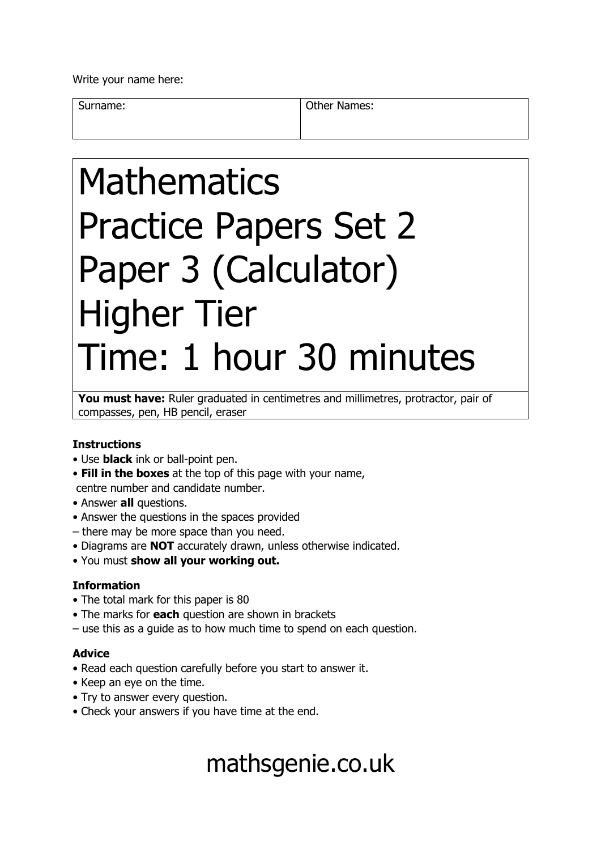Write your name here:

Surname: **Other Names: Other Names:** 

# Mathematics Practice Papers Set 2 Paper 3 (Calculator) Higher Tier Time: 1 hour 30 minutes

You must have: Ruler graduated in centimetres and millimetres, protractor, pair of compasses, pen, HB pencil, eraser

# **Instructions**

- Use **black** ink or ball-point pen.
- **Fill in the boxes** at the top of this page with your name, centre number and candidate number.
- Answer **all** questions.
- Answer the questions in the spaces provided
- there may be more space than you need.
- Diagrams are **NOT** accurately drawn, unless otherwise indicated.
- You must **show all your working out.**

# **Information**

- The total mark for this paper is 80
- The marks for **each** question are shown in brackets
- use this as a guide as to how much time to spend on each question.

# **Advice**

- Read each question carefully before you start to answer it.
- Keep an eye on the time.
- Try to answer every question.
- Check your answers if you have time at the end.

# mathsgenie.co.uk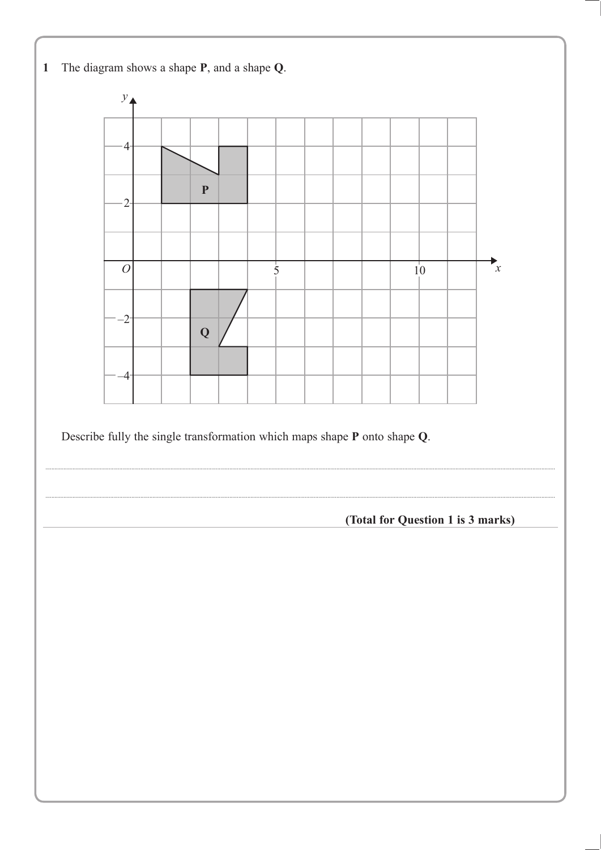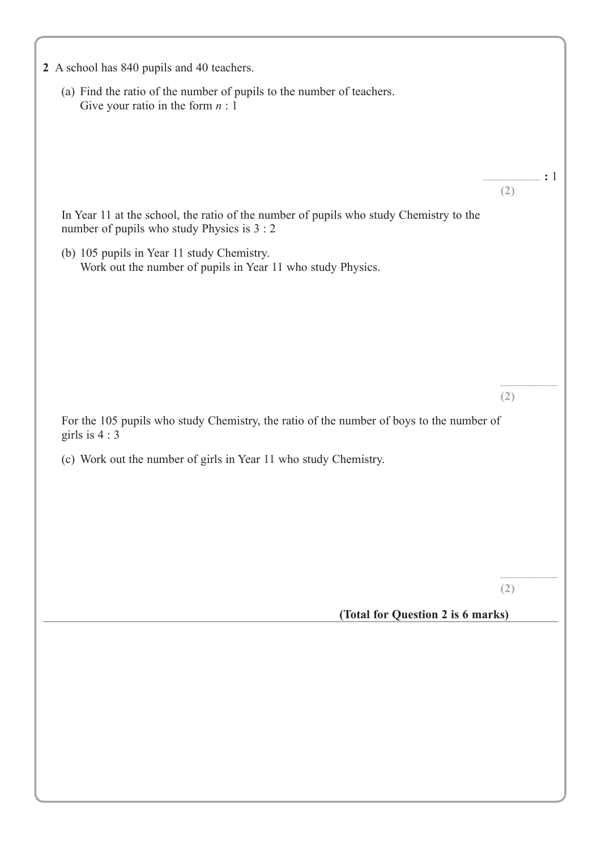| (a) Find the ratio of the number of pupils to the number of teachers.<br>Give your ratio in the form $n:1$<br>In Year 11 at the school, the ratio of the number of pupils who study Chemistry to the<br>number of pupils who study Physics is 3 : 2<br>(b) 105 pupils in Year 11 study Chemistry.<br>Work out the number of pupils in Year 11 who study Physics. | (2) |
|------------------------------------------------------------------------------------------------------------------------------------------------------------------------------------------------------------------------------------------------------------------------------------------------------------------------------------------------------------------|-----|
|                                                                                                                                                                                                                                                                                                                                                                  |     |
|                                                                                                                                                                                                                                                                                                                                                                  |     |
|                                                                                                                                                                                                                                                                                                                                                                  |     |
|                                                                                                                                                                                                                                                                                                                                                                  |     |
|                                                                                                                                                                                                                                                                                                                                                                  |     |
|                                                                                                                                                                                                                                                                                                                                                                  |     |
|                                                                                                                                                                                                                                                                                                                                                                  |     |
|                                                                                                                                                                                                                                                                                                                                                                  |     |
|                                                                                                                                                                                                                                                                                                                                                                  |     |
|                                                                                                                                                                                                                                                                                                                                                                  |     |
|                                                                                                                                                                                                                                                                                                                                                                  | (2) |
| For the 105 pupils who study Chemistry, the ratio of the number of boys to the number of<br>girls is $4:3$                                                                                                                                                                                                                                                       |     |
| (c) Work out the number of girls in Year 11 who study Chemistry.                                                                                                                                                                                                                                                                                                 |     |
|                                                                                                                                                                                                                                                                                                                                                                  |     |
|                                                                                                                                                                                                                                                                                                                                                                  |     |
|                                                                                                                                                                                                                                                                                                                                                                  |     |
|                                                                                                                                                                                                                                                                                                                                                                  |     |
|                                                                                                                                                                                                                                                                                                                                                                  | (2) |
| (Total for Question 2 is 6 marks)                                                                                                                                                                                                                                                                                                                                |     |
|                                                                                                                                                                                                                                                                                                                                                                  |     |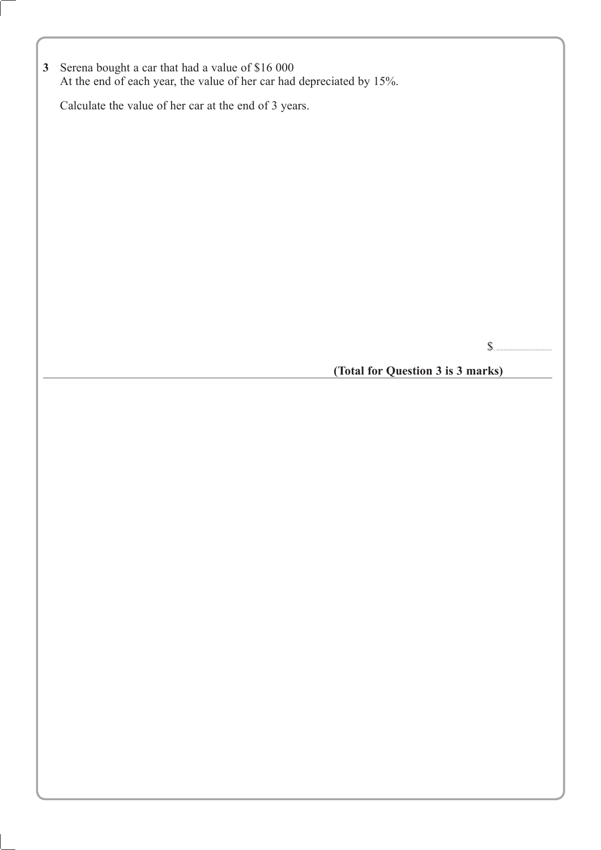**3** Serena bought a car that had a value of \$16 000 At the end of each year, the value of her car had depreciated by 15%.

Calculate the value of her car at the end of 3 years.

\$. .....................................

**(Total for Question 3 is 3 marks)**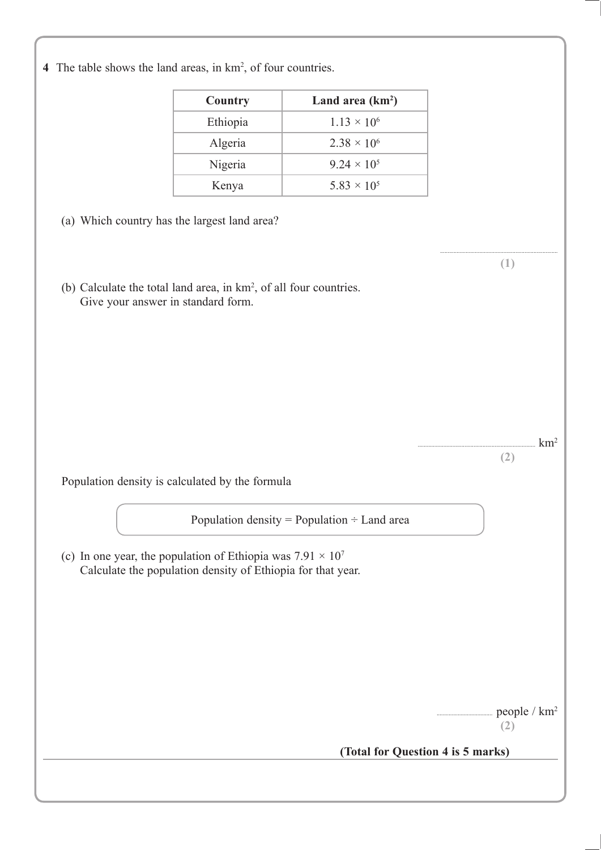4 The table shows the land areas, in km<sup>2</sup>, of four countries.

| Country  | Land area $(km^2)$   |
|----------|----------------------|
| Ethiopia | $1.13 \times 10^{6}$ |
| Algeria  | $2.38 \times 10^{6}$ |
| Nigeria  | $9.24 \times 10^5$   |
| Kenya    | $5.83 \times 10^{5}$ |

- (a) Which country has the largest land area?
- (b) Calculate the total land area, in km2 , of all four countries. Give your answer in standard form.

Population density is calculated by the formula

Population density = Population  $\div$  Land area

(c) In one year, the population of Ethiopia was  $7.91 \times 10^7$ Calculate the population density of Ethiopia for that year.

people / km<sup>2</sup>

.............................................................................. **(1)**

 $km<sup>2</sup>$ 

**(2)**

**(2)**

#### **(Total for Question 4 is 5 marks)**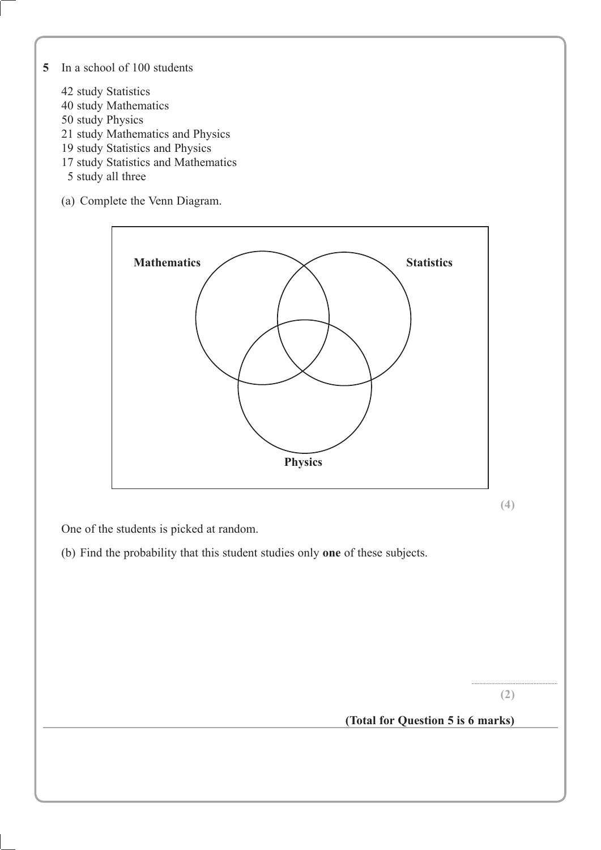### **5** In a school of 100 students

- 42 study Statistics
- 40 study Mathematics
- 50 study Physics
- 21 study Mathematics and Physics
- 19 study Statistics and Physics
- 17 study Statistics and Mathematics
- 5 study all three
- (a) Complete the Venn Diagram.



**(4)**

One of the students is picked at random.

(b) Find the probability that this student studies only one of these subjects.

......................................................... **(2)**

# **(Total for Question 5 is 6 marks)**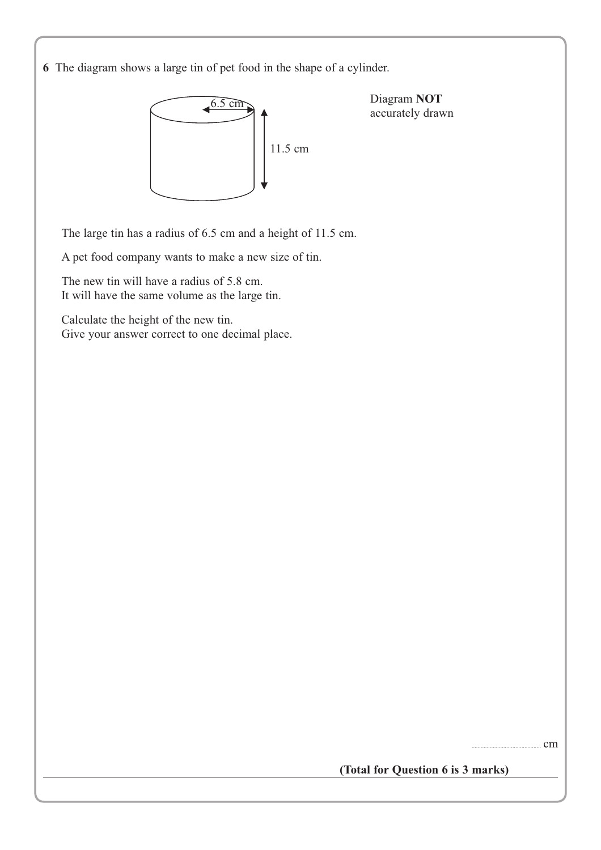**6** The diagram shows a large tin of pet food in the shape of a cylinder.



Diagram **NOT** accurately drawn

The large tin has a radius of 6.5 cm and a height of 11.5 cm.

A pet food company wants to make a new size of tin.

The new tin will have a radius of 5.8 cm. It will have the same volume as the large tin.

Calculate the height of the new tin. Give your answer correct to one decimal place.

.cm

**(Total for Question 6 is 3 marks)**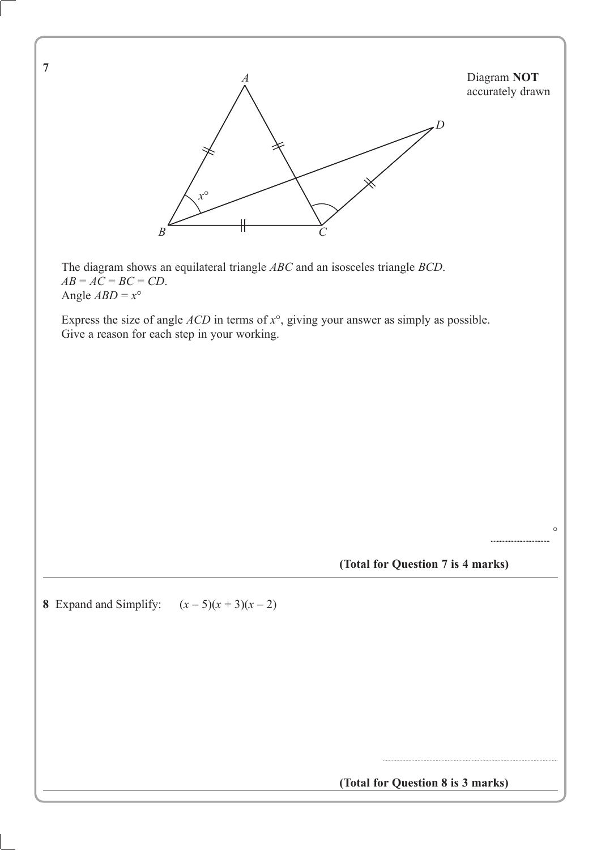

**(Total for Question 7 is 4 marks)**

**.......................................**

 $\circ$ 

**8** Expand and Simplify:  $(x-5)(x+3)(x-2)$ 

**(Total for Question 8 is 3 marks)**

....................................................................................................................

**7**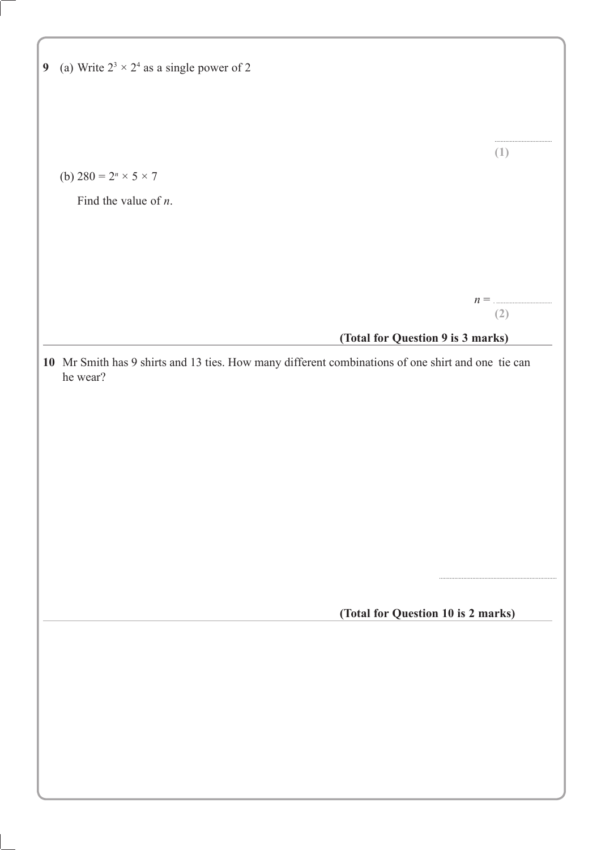| (a) Write $2^3 \times 2^4$ as a single power of 2                                                  |              |
|----------------------------------------------------------------------------------------------------|--------------|
|                                                                                                    |              |
|                                                                                                    |              |
|                                                                                                    |              |
|                                                                                                    | (1)          |
| (b) $280 = 2^n \times 5 \times 7$                                                                  |              |
| Find the value of $n$ .                                                                            |              |
|                                                                                                    |              |
|                                                                                                    |              |
|                                                                                                    |              |
|                                                                                                    | $n =$<br>(2) |
| (Total for Question 9 is 3 marks)                                                                  |              |
| 10 Mr Smith has 9 shirts and 13 ties. How many different combinations of one shirt and one tie can |              |
|                                                                                                    |              |
|                                                                                                    |              |
| (Total for Question 10 is 2 marks)                                                                 |              |
|                                                                                                    |              |
|                                                                                                    |              |
|                                                                                                    |              |
|                                                                                                    |              |
|                                                                                                    |              |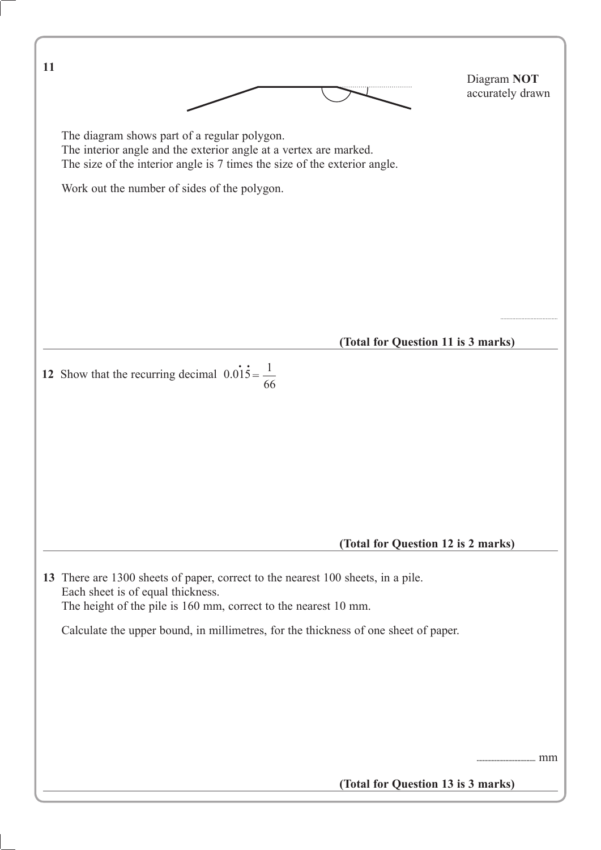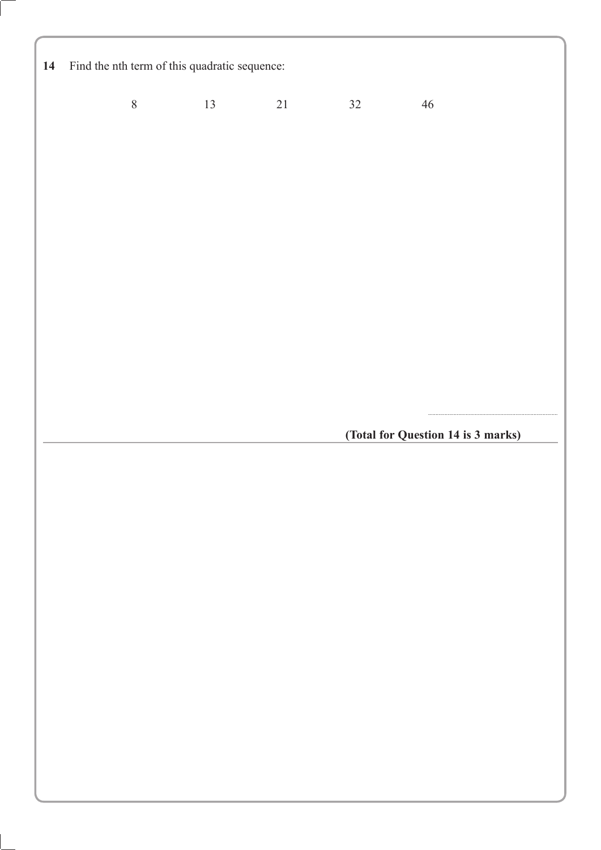**14** Find the nth term of this quadratic sequence:

8 13 21 32 46

**(Total for Question 14 is 3 marks)**

......................................................................................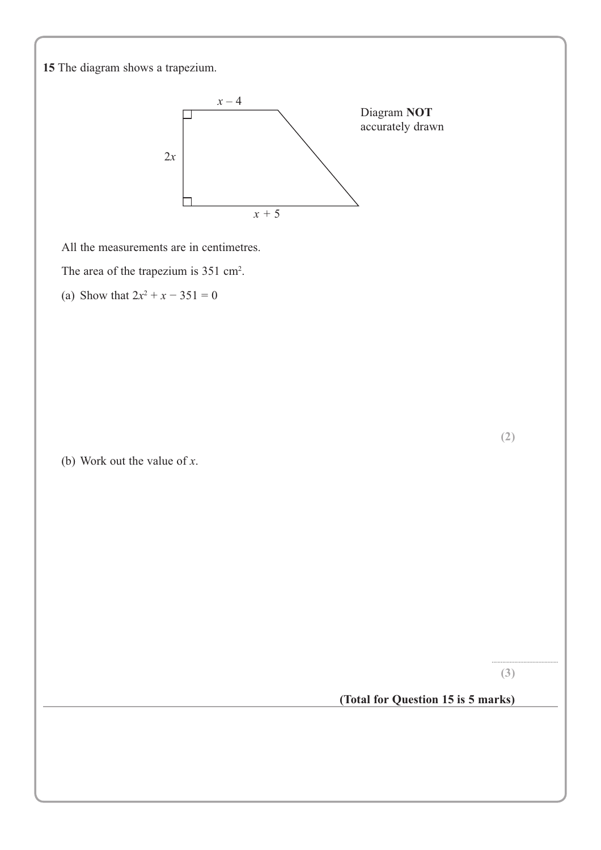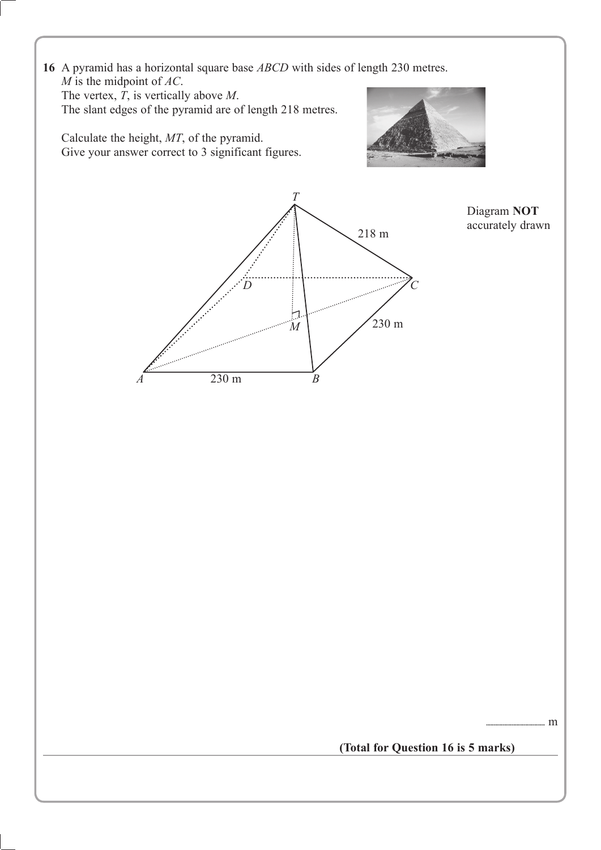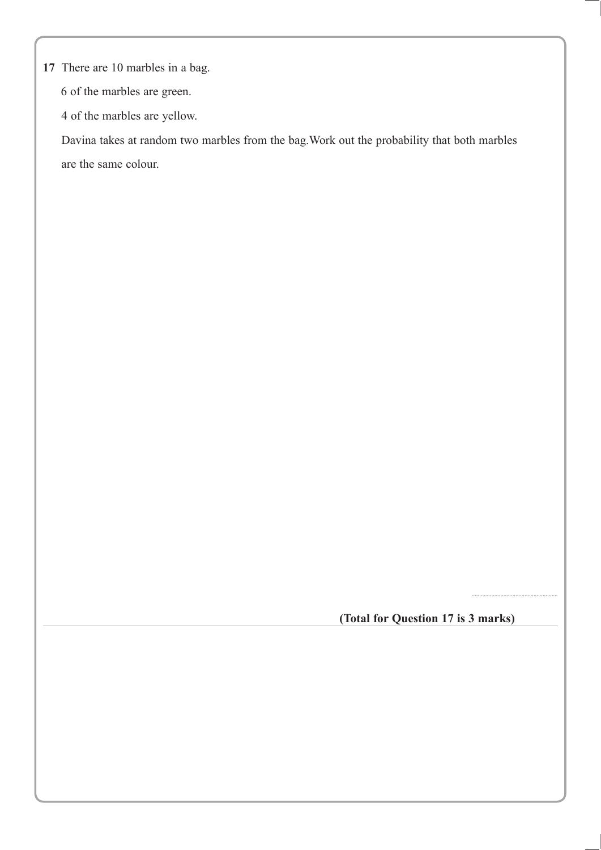**17** There are 10 marbles in a bag.

6 of the marbles are green.

4 of the marbles are yellow.

Davina takes at random two marbles from the bag. Work out the probability that both marbles are the same colour.

**(Total for Question 17 is 3 marks)**

.........................................................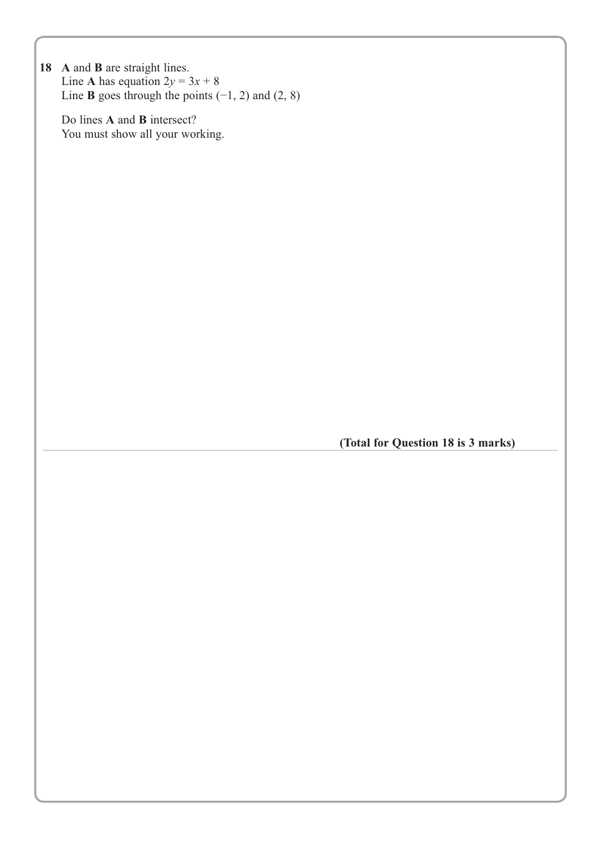**18 A** and **B** are straight lines. Line **A** has equation  $2y = 3x + 8$ Line **B** goes through the points  $(-1, 2)$  and  $(2, 8)$ 

Do lines **A** and **B** intersect? You must show all your working.

**(Total for Question 18 is 3 marks)**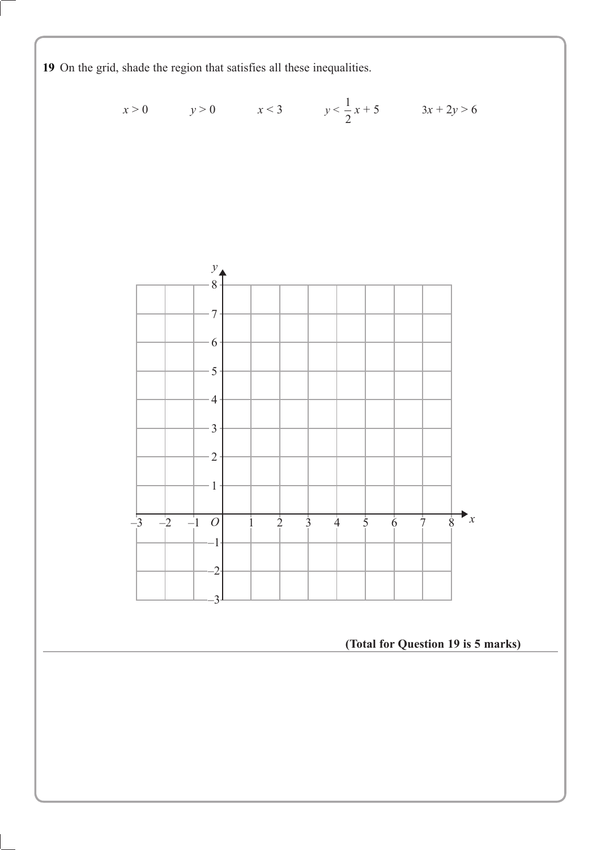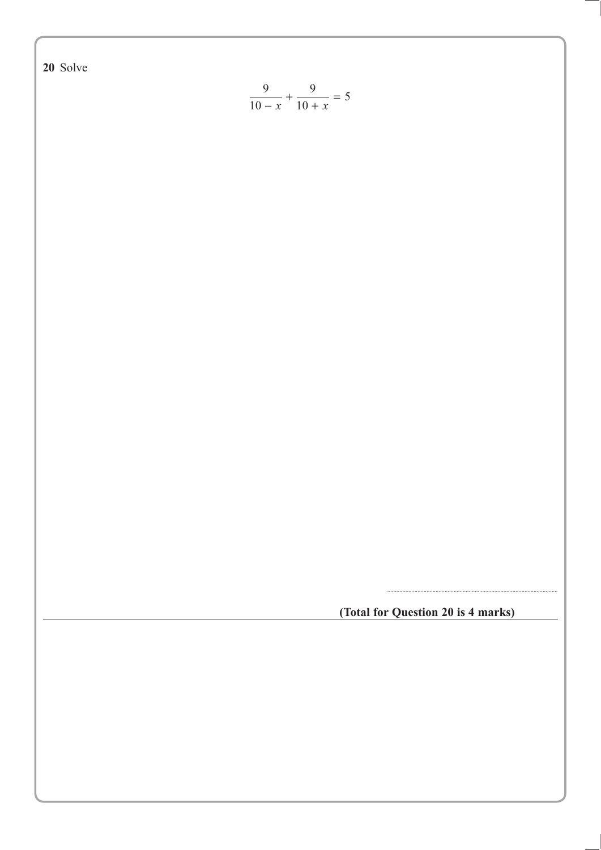20 Solve

$$
\frac{9}{10-x} + \frac{9}{10+x} = 5
$$

(Total for Question 20 is 4 marks)